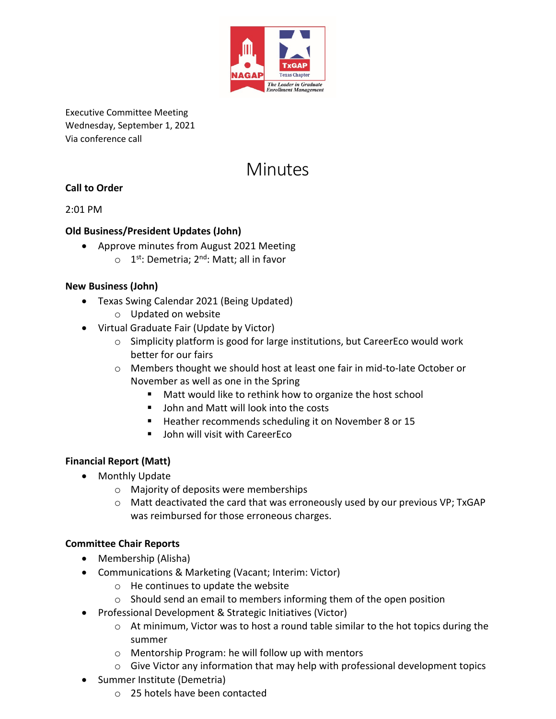

Executive Committee Meeting Wednesday, September 1, 2021 Via conference call

# **Minutes**

## **Call to Order**

2:01 PM

#### **Old Business/President Updates (John)**

- Approve minutes from August 2021 Meeting
	- $\circ$  1<sup>st</sup>: Demetria; 2<sup>nd</sup>: Matt; all in favor

#### **New Business (John)**

- Texas Swing Calendar 2021 (Being Updated)
	- o Updated on website
- Virtual Graduate Fair (Update by Victor)
	- $\circ$  Simplicity platform is good for large institutions, but CareerEco would work better for our fairs
	- o Members thought we should host at least one fair in mid-to-late October or November as well as one in the Spring
		- Matt would like to rethink how to organize the host school
		- John and Matt will look into the costs
		- Heather recommends scheduling it on November 8 or 15
		- John will visit with CareerEco

#### **Financial Report (Matt)**

- Monthly Update
	- o Majority of deposits were memberships
	- o Matt deactivated the card that was erroneously used by our previous VP; TxGAP was reimbursed for those erroneous charges.

## **Committee Chair Reports**

- Membership (Alisha)
- Communications & Marketing (Vacant; Interim: Victor)
	- o He continues to update the website
	- o Should send an email to members informing them of the open position
- Professional Development & Strategic Initiatives (Victor)
	- o At minimum, Victor was to host a round table similar to the hot topics during the summer
	- o Mentorship Program: he will follow up with mentors
	- $\circ$  Give Victor any information that may help with professional development topics
- Summer Institute (Demetria)
	- o 25 hotels have been contacted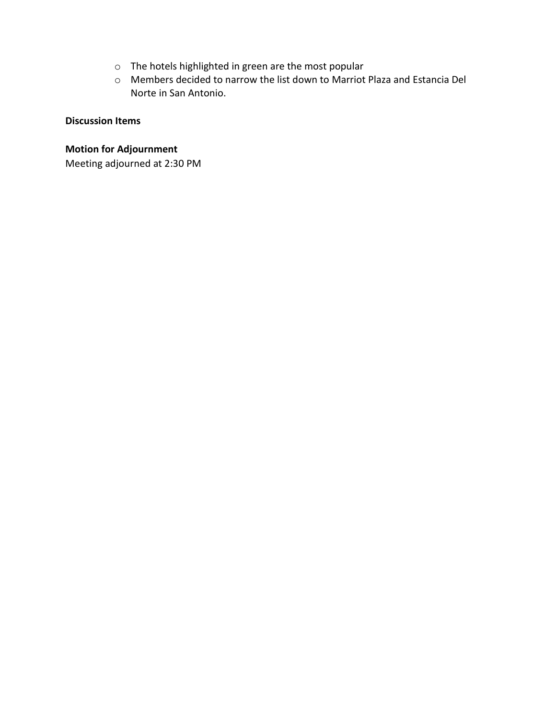- o The hotels highlighted in green are the most popular
- o Members decided to narrow the list down to Marriot Plaza and Estancia Del Norte in San Antonio.

#### **Discussion Items**

#### **Motion for Adjournment**

Meeting adjourned at 2:30 PM